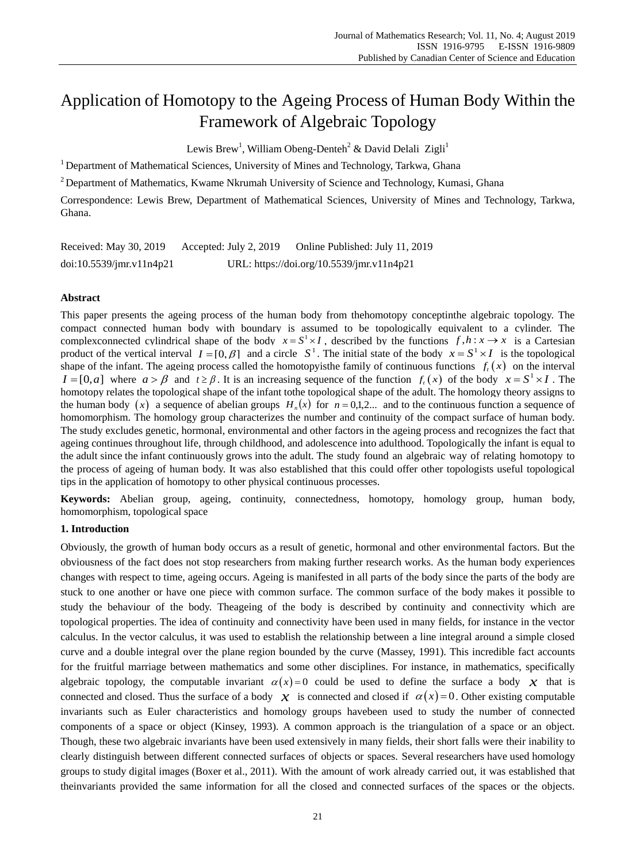# Application of Homotopy to the Ageing Process of Human Body Within the Framework of Algebraic Topology

Lewis Brew<sup>1</sup>, William Obeng-Denteh<sup>2</sup> & David Delali Zigli<sup>1</sup>

<sup>1</sup> Department of Mathematical Sciences, University of Mines and Technology, Tarkwa, Ghana

<sup>2</sup> Department of Mathematics, Kwame Nkrumah University of Science and Technology, Kumasi, Ghana

Correspondence: Lewis Brew, Department of Mathematical Sciences, University of Mines and Technology, Tarkwa, Ghana.

Received: May 30, 2019 Accepted: July 2, 2019 Online Published: July 11, 2019 doi:10.5539/jmr.v11n4p21 URL: https://doi.org/10.5539/jmr.v11n4p21

## **Abstract**

This paper presents the ageing process of the human body from thehomotopy conceptinthe algebraic topology. The compact connected human body with boundary is assumed to be topologically equivalent to a cylinder. The complex connected cylindrical shape of the body  $x = S^1 \times I$ , described by the functions  $f, h: x \to x$  is a Cartesian product of the vertical interval  $I = [0, \beta]$  and a circle  $S^1$ . The initial state of the body  $x = S^1 \times I$  is the topological shape of the infant. The ageing process called the homotopyisthe family of continuous functions  $f_t(x)$  on the interval  $I = [0, a]$  where  $a > \beta$  and  $t \ge \beta$ . It is an increasing sequence of the function  $f_t(x)$  of the body  $x = S^1 \times I$ . The homotopy relates the topological shape of the infant tothe topological shape of the adult. The homology theory assigns to the human body  $(x)$  a sequence of abelian groups  $H_n(x)$  for  $n = 0,1,2...$  and to the continuous function a sequence of homomorphism. The homology group characterizes the number and continuity of the compact surface of human body. The study excludes genetic, hormonal, environmental and other factors in the ageing process and recognizes the fact that ageing continues throughout life, through [childhood,](https://en.wikipedia.org/wiki/Childhood) and [adolescence](https://en.wikipedia.org/wiki/Adolescence) into [adulthood.](https://en.wikipedia.org/wiki/Adulthood) Topologically the infant is equal to the adult since the infant continuously grows into the adult. The study found an algebraic way of relating homotopy to the process of ageing of human body. It was also established that this could offer other topologists useful topological tips in the application of homotopy to other physical continuous processes.

**Keywords:** Abelian group, ageing, continuity, connectedness, homotopy, homology group, human body, homomorphism, topological space

# **1. Introduction**

Obviously, the growth of human body occurs as a result of genetic, hormonal and other environmental factors. But the obviousness of the fact does not stop researchers from making further research works. As the human body experiences changes with respect to time, ageing occurs. Ageing is manifested in all parts of the body since the parts of the body are stuck to one another or have one piece with common surface. The common surface of the body makes it possible to study the behaviour of the body. Theageing of the body is described by continuity and connectivity which are topological properties. The idea of continuity and connectivity have been used in many fields, for instance in the vector calculus. In the vector calculus, it was used to establish the relationship between a line integral around a simple closed curve and a double integral over the plane region bounded by the curve (Massey, 1991). This incredible fact accounts for the fruitful marriage between mathematics and some other disciplines. For instance, in mathematics, specifically algebraic topology, the computable invariant  $\alpha(x) = 0$  could be used to define the surface a body x that is connected and closed. Thus the surface of a body  $\hat{x}$  is connected and closed if  $\alpha(x) = 0$ . Other existing computable invariants such as Euler characteristics and homology groups havebeen used to study the number of connected components of a space or object (Kinsey, 1993). A common approach is the triangulation of a space or an object. Though, these two algebraic invariants have been used extensively in many fields, their short falls were their inability to clearly distinguish between different connected surfaces of objects or spaces. Several researchers have used homology groups to study digital images (Boxer et al., 2011). With the amount of work already carried out, it was established that theinvariants provided the same information for all the closed and connected surfaces of the spaces or the objects.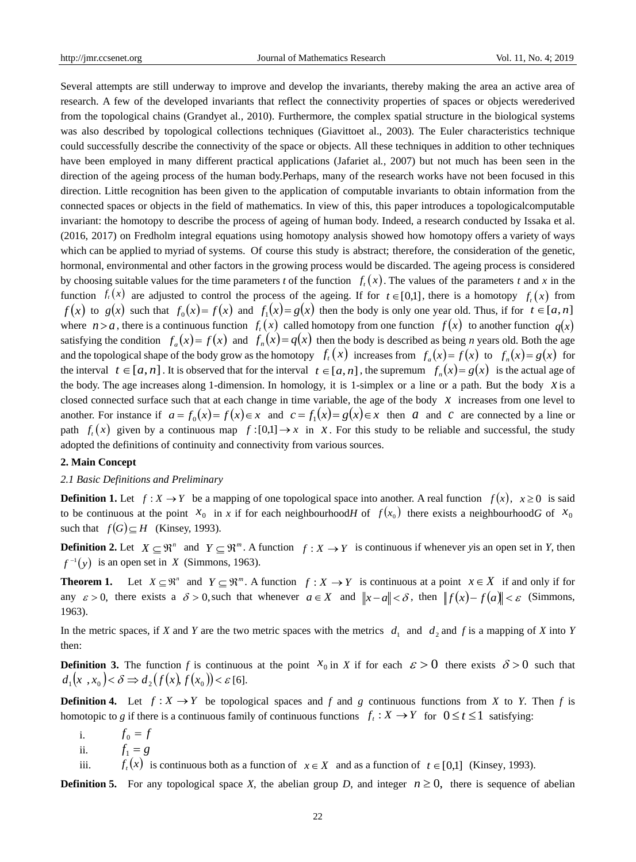Several attempts are still underway to improve and develop the invariants, thereby making the area an active area of research. A few of the developed invariants that reflect the connectivity properties of spaces or objects werederived from the topological chains (Grandyet al.*,* 2010). Furthermore, the complex spatial structure in the biological systems was also described by topological collections techniques (Giavittoet al., 2003). The Euler characteristics technique could successfully describe the connectivity of the space or objects. All these techniques in addition to other techniques have been employed in many different practical applications (Jafariet al*.,* 2007) but not much has been seen in the direction of the ageing process of the human body.Perhaps, many of the research works have not been focused in this direction. Little recognition has been given to the application of computable invariants to obtain information from the connected spaces or objects in the field of mathematics. In view of this, this paper introduces a topologicalcomputable invariant: the homotopy to describe the process of ageing of human body. Indeed, a research conducted by Issaka et al. (2016, 2017) on Fredholm integral equations using homotopy analysis showed how homotopy offers a variety of ways which can be applied to myriad of systems. Of course this study is abstract; therefore, the consideration of the genetic, hormonal, environmental and other factors in the growing process would be discarded. The ageing process is considered by choosing suitable values for the time parameters *t* of the function  $f_t(x)$ . The values of the parameters *t* and *x* in the function  $f_t(x)$  are adjusted to control the process of the ageing. If for  $t \in [0,1]$ , there is a homotopy  $f_t(x)$  from  $f(x)$  to  $g(x)$  such that  $f_0(x) = f(x)$  and  $f_1(x) = g(x)$  then the body is only one year old. Thus, if for  $t \in [a, n]$ where  $n > a$ , there is a continuous function  $f_t(x)$  called homotopy from one function  $f(x)$  to another function  $q(x)$ satisfying the condition  $f_a(x) = f(x)$  and  $f_n(x) = q(x)$  then the body is described as being *n* years old. Both the age and the topological shape of the body grow as the homotopy  $f_t(x)$  increases from  $f_a(x) = f(x)$  to  $f_n(x) = g(x)$  for the interval  $t \in [a, n]$ . It is observed that for the interval  $t \in [a, n]$ , the supremum  $f_n(x) = g(x)$  is the actual age of the body. The age increases along 1-dimension. In homology, it is 1-simplex or a line or a path. But the body  $x$  is a closed connected surface such that at each change in time variable, the age of the body  $x$  increases from one level to another. For instance if  $a = f_0(x) = f(x) \in x$  and  $c = f_1(x) = g(x) \in x$  then a and c are connected by a line or path  $f_t(x)$  given by a continuous map  $f:[0,1] \to x$  in  $x$ . For this study to be reliable and successful, the study adopted the definitions of continuity and connectivity from various sources.

#### **2. Main Concept**

## *2.1 Basic Definitions and Preliminary*

**Definition 1.** Let  $f: X \to Y$  be a mapping of one topological space into another. A real function  $f(x)$ ,  $x \ge 0$  is said to be continuous at the point  $x_0$  in x if for each neighbourhood*H* of  $f(x_0)$  there exists a neighbourhood*G* of  $x_0$ such that  $f(G) \subseteq H$  (Kinsey, 1993).

**Definition 2.** Let  $X \subseteq \mathbb{R}^n$  and  $Y \subseteq \mathbb{R}^m$ . A function  $f: X \to Y$  is continuous if whenever *y* is an open set in *Y*, then  $f^{-1}(y)$  is an open set in *X* (Simmons, 1963).

**Theorem 1.** Let  $X \subseteq \mathbb{R}^n$  and  $Y \subseteq \mathbb{R}^m$ . A function  $f: X \to Y$  is continuous at a point  $x \in X$  if and only if for any  $\varepsilon > 0$ , there exists a  $\delta > 0$ , such that whenever  $a \in X$  and  $||x-a|| < \delta$ , then  $||f(x)-f(a)|| < \varepsilon$  (Simmons, 1963).

In the metric spaces, if *X* and *Y* are the two metric spaces with the metrics  $d_1$  and  $d_2$  and *f* is a mapping of *X* into *Y* then:

**Definition 3.** The function f is continuous at the point  $x_0$  in X if for each  $\varepsilon > 0$  there exists  $\delta > 0$  such that  $d_1(x, x_0) < \delta \Rightarrow d_2(f(x), f(x_0)) < \varepsilon$  [6].

**Definition 4.** Let  $f: X \to Y$  be topological spaces and *f* and *g* continuous functions from *X* to *Y*. Then *f* is homotopic to *g* if there is a continuous family of continuous functions  $f_t: X \to Y$  for  $0 \le t \le 1$  satisfying:

- i.  $f_0 = f$
- ii.  $f_1 = g$

iii.  $f_t(x)$  is continuous both as a function of  $x \in X$  and as a function of  $t \in [0,1]$  (Kinsey, 1993).

**Definition 5.** For any topological space X, the abelian group D, and integer  $n \ge 0$ , there is sequence of abelian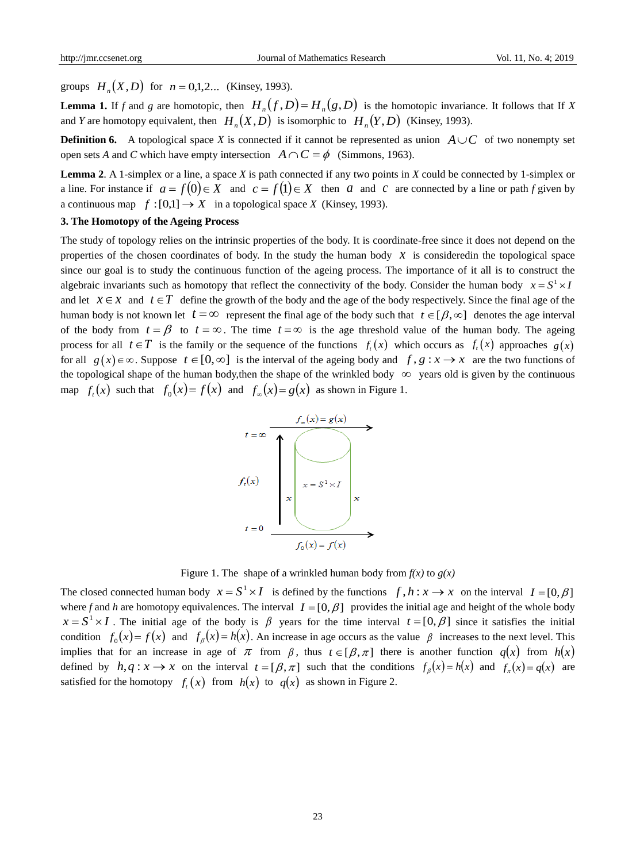groups  $H_n(X, D)$  for  $n = 0,1,2...$  (Kinsey, 1993).

**Lemma 1.** If *f* and *g* are homotopic, then  $H_n(f, D) = H_n(g, D)$  is the homotopic invariance. It follows that If *X* and *Y* are homotopy equivalent, then  $H_n(X, D)$  is isomorphic to  $H_n(Y, D)$  (Kinsey, 1993).

**Definition 6.** A topological space X is connected if it cannot be represented as union  $A \cup C$  of two nonempty set open sets *A* and *C* which have empty intersection  $A \cap C = \phi$  (Simmons, 1963).

**Lemma 2**. A 1-simplex or a line, a space *X* is path connected if any two points in *X* could be connected by 1-simplex or a line. For instance if  $a = f(0) \in X$  and  $c = f(1) \in X$  then a and c are connected by a line or path *f* given by a continuous map  $f:[0,1] \to X$  in a topological space *X* (Kinsey, 1993).

### **3. The Homotopy of the Ageing Process**

The study of topology relies on the intrinsic properties of the body. It is coordinate-free since it does not depend on the properties of the chosen coordinates of body. In the study the human body  $x$  is consideredin the topological space since our goal is to study the continuous function of the ageing process. The importance of it all is to construct the algebraic invariants such as homotopy that reflect the connectivity of the body. Consider the human body  $x = S^1 \times I$ and let  $x \in \mathcal{X}$  and  $t \in \mathcal{T}$  define the growth of the body and the age of the body respectively. Since the final age of the human body is not known let  $t = \infty$  represent the final age of the body such that  $t \in [\beta, \infty]$  denotes the age interval of the body from  $t = \beta$  to  $t = \infty$ . The time  $t = \infty$  is the age threshold value of the human body. The ageing process for all  $t \in T$  is the family or the sequence of the functions  $f_t(x)$  which occurs as  $f_t(x)$  approaches  $g(x)$ for all  $g(x) \in \infty$ . Suppose  $t \in [0, \infty]$  is the interval of the ageing body and  $f, g: x \to x$  are the two functions of the topological shape of the human body, then the shape of the wrinkled body  $\infty$  years old is given by the continuous map  $f_t(x)$  such that  $f_0(x) = f(x)$  and  $f_\infty(x) = g(x)$  as shown in Figure 1.



Figure 1. The shape of a wrinkled human body from  $f(x)$  to  $g(x)$ 

The closed connected human body  $x = S^1 \times I$  is defined by the functions  $f, h: x \to x$  on the interval  $I = [0, \beta]$ where f and h are homotopy equivalences. The interval  $I = [0, \beta]$  provides the initial age and height of the whole body  $x = S^1 \times I$ . The initial age of the body is  $\beta$  years for the time interval  $t = [0, \beta]$  since it satisfies the initial condition  $f_0(x) = f(x)$  and  $f_\beta(x) = h(x)$ . An increase in age occurs as the value  $\beta$  increases to the next level. This implies that for an increase in age of  $\pi$  from  $\beta$ , thus  $t \in [\beta, \pi]$  there is another function  $q(x)$  from  $h(x)$ defined by  $h, q: x \to x$  on the interval  $t = [\beta, \pi]$  such that the conditions  $f_\beta(x) = h(x)$  and  $f_\pi(x) = q(x)$  are satisfied for the homotopy  $f_t(x)$  from  $h(x)$  to  $q(x)$  as shown in Figure 2.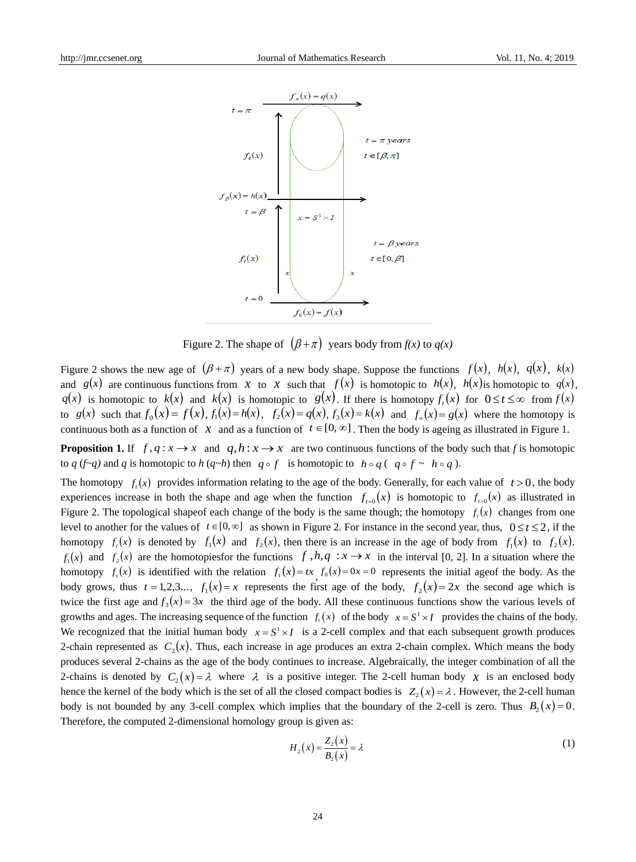

Figure 2. The shape of  $(\beta + \pi)$  years body from  $f(x)$  to  $q(x)$ 

Figure 2 shows the new age of  $(\beta + \pi)$  years of a new body shape. Suppose the functions  $f(x)$ ,  $h(x)$ ,  $q(x)$ ,  $k(x)$ and  $g(x)$  are continuous functions from  $x$  to  $x$  such that  $f(x)$  is homotopic to  $h(x)$ ,  $h(x)$  is homotopic to  $g(x)$ ,  $q(x)$  is homotopic to  $k(x)$  and  $k(x)$  is homotopic to  $g(x)$ . If there is homotopy  $f_i(x)$  for  $0 \le t \le \infty$  from  $f(x)$ to  $g(x)$  such that  $f_0(x) = f(x)$ ,  $f_1(x) = h(x)$ ,  $f_2(x) = g(x)$ ,  $f_3(x) = k(x)$  and  $f_{\infty}(x) = g(x)$  where the homotopy is continuous both as a function of  $x$  and as a function of  $t \in [0, \infty]$ . Then the body is ageing as illustrated in Figure 1.

**Proposition 1.** If  $f, q: x \to x$  and  $q, h: x \to x$  are two continuous functions of the body such that *f* is homotopic to *q* (*f* $\sim$ *q*) and *q* is homotopic to *h* (*q* $\sim$ *h*) then *q* $\circ$ *f* is homotopic to *h* $\circ$ *q*(*q* $\circ$ *f*  $\sim$  *h* $\circ$ *q*).

The homotopy  $f_t(x)$  provides information relating to the age of the body. Generally, for each value of  $t > 0$ , the body experiences increase in both the shape and age when the function  $f_{t=0}(x)$  is homotopic to  $f_{t>0}(x)$  as illustrated in Figure 2. The topological shapeof each change of the body is the same though; the homotopy  $f_t(x)$  changes from one level to another for the values of  $t \in [0, \infty]$  as shown in Figure 2. For instance in the second year, thus,  $0 \le t \le 2$ , if the homotopy  $f_i(x)$  is denoted by  $f_1(x)$  and  $f_2(x)$ , then there is an increase in the age of body from  $f_1(x)$  to  $f_2(x)$ .  $f_1(x)$  and  $f_2(x)$  are the homotopiesfor the functions  $f, h, q : x \rightarrow x$  in the interval [0, 2]. In a situation where the homotopy  $f_t(x)$  is identified with the relation  $f_t(x) = tx$ ,  $f_0(x) = 0x = 0$  represents the initial ageof the body. As the body grows, thus  $t = 1,2,3...$ ,  $f_1(x) = x$  represents the first age of the body,  $f_2(x) = 2x$  the second age which is twice the first age and  $f_3(x) = 3x$  the third age of the body. All these continuous functions show the various levels of growths and ages. The increasing sequence of the function  $f_t(x)$  of the body  $x = S^1 \times I$  provides the chains of the body. We recognized that the initial human body  $x = S^1 \times I$  is a 2-cell complex and that each subsequent growth produces 2-chain represented as  $C_2(x)$ . Thus, each increase in age produces an extra 2-chain complex. Which means the body produces several 2-chains as the age of the body continues to increase. Algebraically, the integer combination of all the 2-chains is denoted by  $C_2(x) = \lambda$  where  $\lambda$  is a positive integer. The 2-cell human body  $\chi$  is an enclosed body hence the kernel of the body which is the set of all the closed compact bodies is  $Z_2(x) = \lambda$ . However, the 2-cell human body is not bounded by any 3-cell complex which implies that the boundary of the 2-cell is zero. Thus  $B_2(x) = 0$ . Therefore, the computed 2-dimensional homology group is given as:

$$
H_2(x) = \frac{Z_2(x)}{B_2(x)} = \lambda
$$
\n(1)